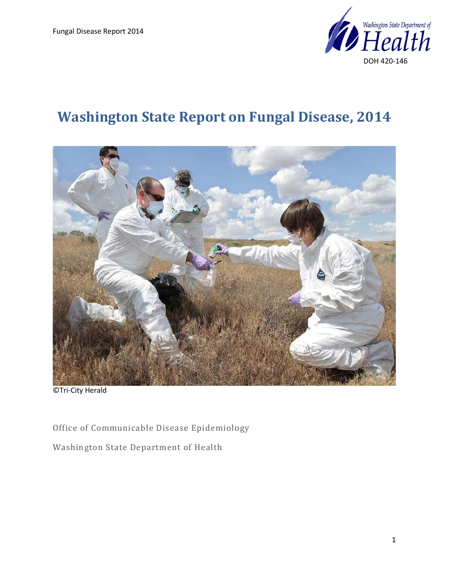

# **Washington State Report on Fungal Disease, 2014**



©Tri-City Herald

Office of Communicable Disease Epidemiology

Washington State Department of Health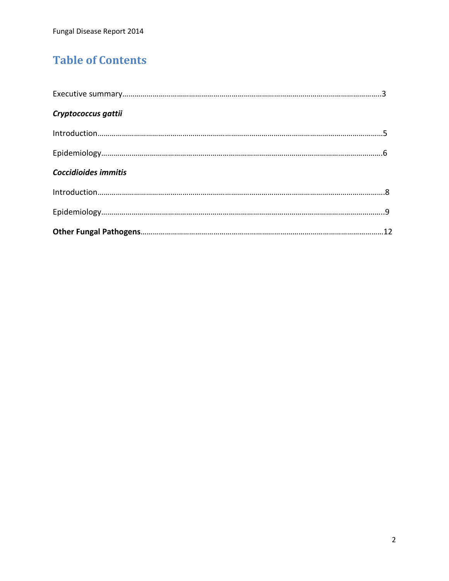# **Table of Contents**

| Cryptococcus gattii  |  |
|----------------------|--|
|                      |  |
|                      |  |
| Coccidioides immitis |  |
|                      |  |
|                      |  |
|                      |  |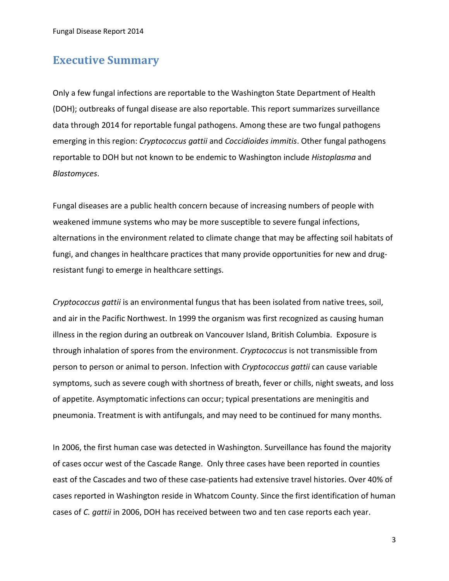### **Executive Summary**

Only a few fungal infections are reportable to the Washington State Department of Health (DOH); outbreaks of fungal disease are also reportable. This report summarizes surveillance data through 2014 for reportable fungal pathogens. Among these are two fungal pathogens emerging in this region: *Cryptococcus gattii* and *Coccidioides immitis*. Other fungal pathogens reportable to DOH but not known to be endemic to Washington include *Histoplasma* and *Blastomyces*.

Fungal diseases are a public health concern because of increasing numbers of people with weakened immune systems who may be more susceptible to severe fungal infections, alternations in the environment related to climate change that may be affecting soil habitats of fungi, and changes in healthcare practices that many provide opportunities for new and drugresistant fungi to emerge in healthcare settings.

*Cryptococcus gattii* is an environmental fungus that has been isolated from native trees, soil, and air in the Pacific Northwest. In 1999 the organism was first recognized as causing human illness in the region during an outbreak on Vancouver Island, British Columbia. Exposure is through inhalation of spores from the environment. *Cryptococcus* is not transmissible from person to person or animal to person. Infection with *Cryptococcus gattii* can cause variable symptoms, such as severe cough with shortness of breath, fever or chills, night sweats, and loss of appetite. Asymptomatic infections can occur; typical presentations are meningitis and pneumonia. Treatment is with antifungals, and may need to be continued for many months.

In 2006, the first human case was detected in Washington. Surveillance has found the majority of cases occur west of the Cascade Range. Only three cases have been reported in counties east of the Cascades and two of these case-patients had extensive travel histories. Over 40% of cases reported in Washington reside in Whatcom County. Since the first identification of human cases of *C. gattii* in 2006, DOH has received between two and ten case reports each year.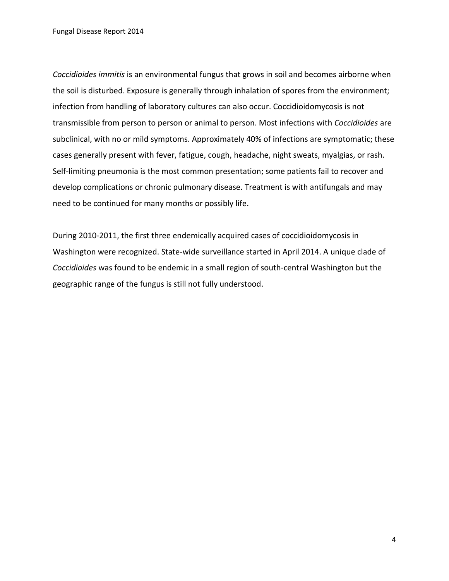*Coccidioides immitis* is an environmental fungus that grows in soil and becomes airborne when the soil is disturbed. Exposure is generally through inhalation of spores from the environment; infection from handling of laboratory cultures can also occur. Coccidioidomycosis is not transmissible from person to person or animal to person. Most infections with *Coccidioides* are subclinical, with no or mild symptoms. Approximately 40% of infections are symptomatic; these cases generally present with fever, fatigue, cough, headache, night sweats, myalgias, or rash. Self-limiting pneumonia is the most common presentation; some patients fail to recover and develop complications or chronic pulmonary disease. Treatment is with antifungals and may need to be continued for many months or possibly life.

During 2010-2011, the first three endemically acquired cases of coccidioidomycosis in Washington were recognized. State-wide surveillance started in April 2014. A unique clade of *Coccidioides* was found to be endemic in a small region of south-central Washington but the geographic range of the fungus is still not fully understood.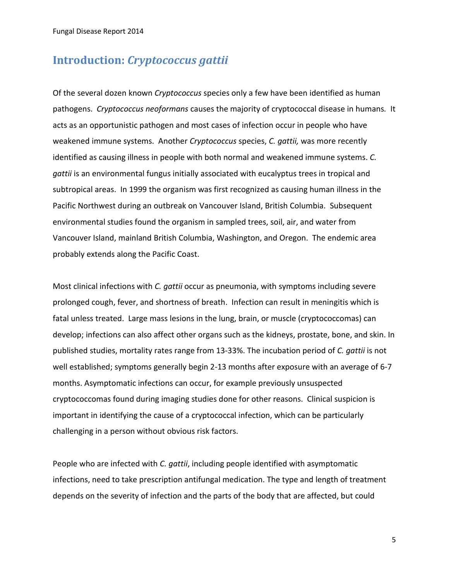### **Introduction:** *Cryptococcus gattii*

Of the several dozen known *Cryptococcus* species only a few have been identified as human pathogens. *Cryptococcus neoformans* causes the majority of cryptococcal disease in humans*.* It acts as an opportunistic pathogen and most cases of infection occur in people who have weakened immune systems. Another *Cryptococcus* species, *C. gattii,* was more recently identified as causing illness in people with both normal and weakened immune systems. *C. gattii* is an environmental fungus initially associated with eucalyptus trees in tropical and subtropical areas. In 1999 the organism was first recognized as causing human illness in the Pacific Northwest during an outbreak on Vancouver Island, British Columbia. Subsequent environmental studies found the organism in sampled trees, soil, air, and water from Vancouver Island, mainland British Columbia, Washington, and Oregon. The endemic area probably extends along the Pacific Coast.

Most clinical infections with *C. gattii* occur as pneumonia, with symptoms including severe prolonged cough, fever, and shortness of breath. Infection can result in meningitis which is fatal unless treated. Large mass lesions in the lung, brain, or muscle (cryptococcomas) can develop; infections can also affect other organs such as the kidneys, prostate, bone, and skin. In published studies, mortality rates range from 13-33%. The incubation period of *C. gattii* is not well established; symptoms generally begin 2-13 months after exposure with an average of 6-7 months. Asymptomatic infections can occur, for example previously unsuspected cryptococcomas found during imaging studies done for other reasons. Clinical suspicion is important in identifying the cause of a cryptococcal infection, which can be particularly challenging in a person without obvious risk factors.

People who are infected with *C. gattii*, including people identified with asymptomatic infections, need to take prescription antifungal medication. The type and length of treatment depends on the severity of infection and the parts of the body that are affected, but could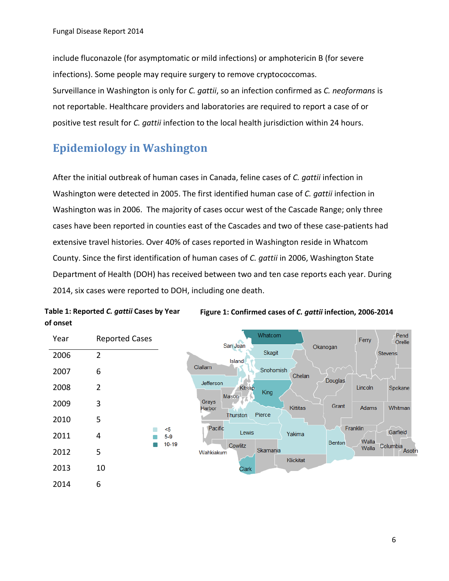include fluconazole (for asymptomatic or mild infections) or amphotericin B (for severe infections). Some people may require surgery to remove cryptococcomas. Surveillance in Washington is only for *C. gattii*, so an infection confirmed as *C. neoformans* is not reportable. Healthcare providers and laboratories are required to report a case of or positive test result for *C. gattii* infection to the local health jurisdiction within 24 hours.

# **Epidemiology in Washington**

**Table 1: Reported** *C. gattii* **Cases by Year** 

After the initial outbreak of human cases in Canada, feline cases of *C. gattii* infection in Washington were detected in 2005. The first identified human case of *C. gattii* infection in Washington was in 2006. The majority of cases occur west of the Cascade Range; only three cases have been reported in counties east of the Cascades and two of these case-patients had extensive travel histories. Over 40% of cases reported in Washington reside in Whatcom County. Since the first identification of human cases of *C. gattii* in 2006, Washington State Department of Health (DOH) has received between two and ten case reports each year. During 2014, six cases were reported to DOH, including one death.



**Figure 1: Confirmed cases of** *C. gattii* **infection, 2006-2014**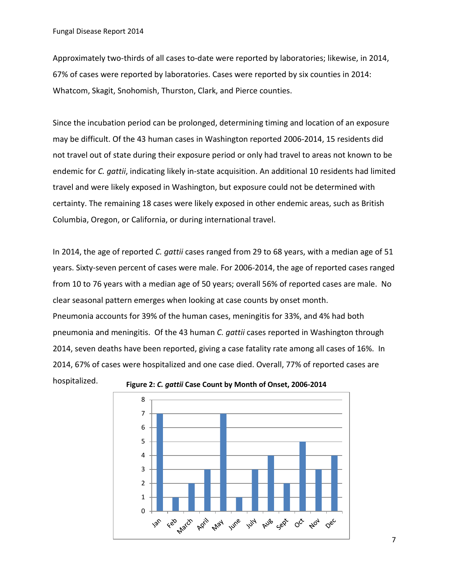Approximately two-thirds of all cases to-date were reported by laboratories; likewise, in 2014, 67% of cases were reported by laboratories. Cases were reported by six counties in 2014: Whatcom, Skagit, Snohomish, Thurston, Clark, and Pierce counties.

Since the incubation period can be prolonged, determining timing and location of an exposure may be difficult. Of the 43 human cases in Washington reported 2006-2014, 15 residents did not travel out of state during their exposure period or only had travel to areas not known to be endemic for *C. gattii*, indicating likely in-state acquisition. An additional 10 residents had limited travel and were likely exposed in Washington, but exposure could not be determined with certainty. The remaining 18 cases were likely exposed in other endemic areas, such as British Columbia, Oregon, or California, or during international travel.

In 2014, the age of reported *C. gattii* cases ranged from 29 to 68 years, with a median age of 51 years. Sixty-seven percent of cases were male. For 2006-2014, the age of reported cases ranged from 10 to 76 years with a median age of 50 years; overall 56% of reported cases are male. No clear seasonal pattern emerges when looking at case counts by onset month. Pneumonia accounts for 39% of the human cases, meningitis for 33%, and 4% had both pneumonia and meningitis. Of the 43 human *C. gattii* cases reported in Washington through 2014, seven deaths have been reported, giving a case fatality rate among all cases of 16%. In 2014, 67% of cases were hospitalized and one case died. Overall, 77% of reported cases are hospitalized. **Figure 2:** *C. gattii* **Case Count by Month of Onset, 2006-2014**



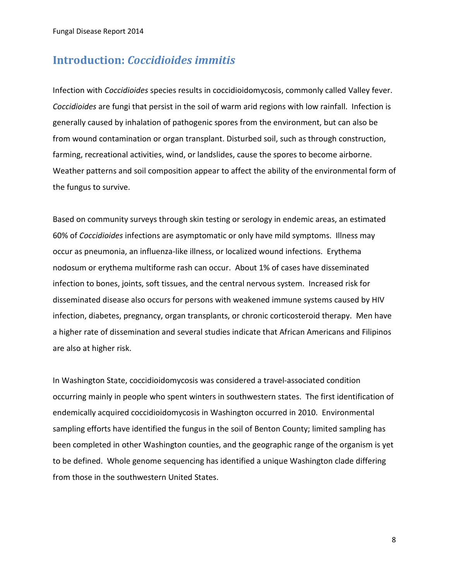### **Introduction:** *Coccidioides immitis*

Infection with *Coccidioides* species results in coccidioidomycosis, commonly called Valley fever. *Coccidioides* are fungi that persist in the soil of warm arid regions with low rainfall. Infection is generally caused by inhalation of pathogenic spores from the environment, but can also be from wound contamination or organ transplant. Disturbed soil, such as through construction, farming, recreational activities, wind, or landslides, cause the spores to become airborne. Weather patterns and soil composition appear to affect the ability of the environmental form of the fungus to survive.

Based on community surveys through skin testing or serology in endemic areas, an estimated 60% of *Coccidioides* infections are asymptomatic or only have mild symptoms. Illness may occur as pneumonia, an influenza-like illness, or localized wound infections. Erythema nodosum or erythema multiforme rash can occur. About 1% of cases have disseminated infection to bones, joints, soft tissues, and the central nervous system. Increased risk for disseminated disease also occurs for persons with weakened immune systems caused by HIV infection, diabetes, pregnancy, organ transplants, or chronic corticosteroid therapy. Men have a higher rate of dissemination and several studies indicate that African Americans and Filipinos are also at higher risk.

In Washington State, coccidioidomycosis was considered a travel-associated condition occurring mainly in people who spent winters in southwestern states. The first identification of endemically acquired coccidioidomycosis in Washington occurred in 2010. Environmental sampling efforts have identified the fungus in the soil of Benton County; limited sampling has been completed in other Washington counties, and the geographic range of the organism is yet to be defined. Whole genome sequencing has identified a unique Washington clade differing from those in the southwestern United States.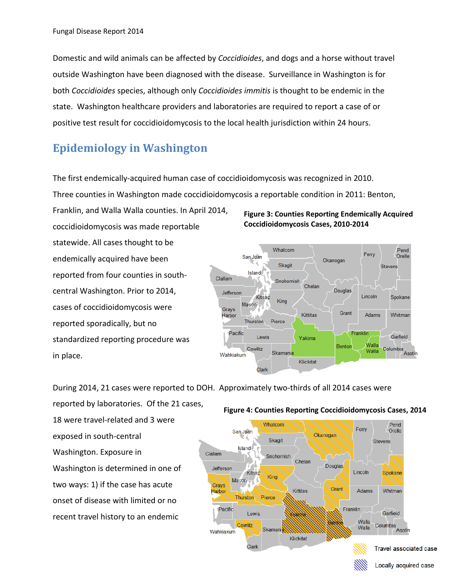Domestic and wild animals can be affected by *Coccidioides*, and dogs and a horse without travel outside Washington have been diagnosed with the disease. Surveillance in Washington is for both *Coccidioides* species, although only *Coccidioides immitis* is thought to be endemic in the state. Washington healthcare providers and laboratories are required to report a case of or positive test result for coccidioidomycosis to the local health jurisdiction within 24 hours.

# **Epidemiology in Washington**

The first endemically-acquired human case of coccidioidomycosis was recognized in 2010.

Three counties in Washington made coccidioidomycosis a reportable condition in 2011: Benton,

Franklin, and Walla Walla counties. In April 2014, coccidioidomycosis was made reportable statewide. All cases thought to be endemically acquired have been reported from four counties in southcentral Washington. Prior to 2014, cases of coccidioidomycosis were reported sporadically, but no standardized reporting procedure was in place.

#### **Figure 3: Counties Reporting Endemically Acquired Coccidioidomycosis Cases, 2010-2014**



During 2014, 21 cases were reported to DOH. Approximately two-thirds of all 2014 cases were

reported by laboratories. Of the 21 cases, 18 were travel-related and 3 were exposed in south-central Washington. Exposure in Washington is determined in one of two ways: 1) if the case has acute onset of disease with limited or no recent travel history to an endemic

### **Figure 4: Counties Reporting Coccidioidomycosis Cases, 2014**

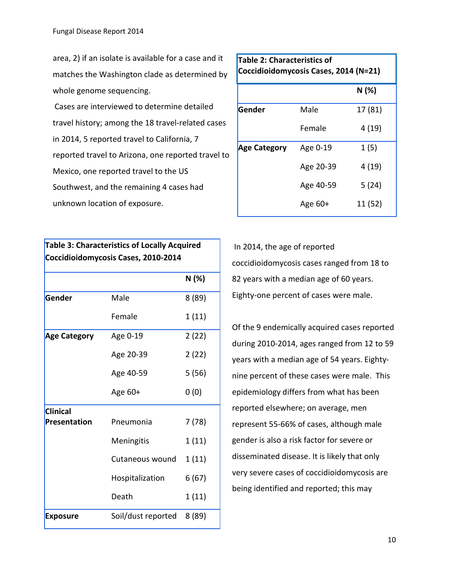area, 2) if an isolate is available for a case and it matches the Washington clade as determined by whole genome sequencing.

Cases are interviewed to determine detailed travel history; among the 18 travel-related cases in 2014, 5 reported travel to California, 7 reported travel to Arizona, one reported travel to Mexico, one reported travel to the US Southwest, and the remaining 4 cases had unknown location of exposure.

**Table 3: Characteristics of Locally Acquired** 

| Coccidioidomycosis Cases, 2010-2014 |                    |        |
|-------------------------------------|--------------------|--------|
|                                     |                    | N (%)  |
| Gender                              | Male               | 8(89)  |
|                                     | Female             | 1(11)  |
| <b>Age Category</b>                 | Age 0-19           | 2(22)  |
|                                     | Age 20-39          | 2(22)  |
|                                     | Age 40-59          | 5(56)  |
|                                     | Age 60+            | 0(0)   |
| <b>Clinical</b>                     |                    |        |
| <b>Presentation</b>                 | Pneumonia          | 7 (78) |
|                                     | Meningitis         | 1 (11) |
|                                     | Cutaneous wound    | 1(11)  |
|                                     | Hospitalization    | 6(67)  |
|                                     | Death              | 1(11)  |
| <b>Exposure</b>                     | Soil/dust reported | 8 (89) |

| Table 2: Characteristics of<br>Coccidioidomycosis Cases, 2014 (N=21) |           |         |
|----------------------------------------------------------------------|-----------|---------|
|                                                                      |           | N(%)    |
| Gender                                                               | Male      | 17 (81) |
|                                                                      | Female    | 4(19)   |
| <b>Age Category</b>                                                  | Age 0-19  | 1(5)    |
|                                                                      | Age 20-39 | 4(19)   |
|                                                                      | Age 40-59 | 5(24)   |
|                                                                      | Age $60+$ | 11 (52) |
|                                                                      |           |         |

In 2014, the age of reported coccidioidomycosis cases ranged from 18 to 82 years with a median age of 60 years. Eighty-one percent of cases were male.

Of the 9 endemically acquired cases reported during 2010-2014, ages ranged from 12 to 59 years with a median age of 54 years. Eightynine percent of these cases were male. This epidemiology differs from what has been reported elsewhere; on average, men represent 55-66% of cases, although male gender is also a risk factor for severe or disseminated disease. It is likely that only very severe cases of coccidioidomycosis are being identified and reported; this may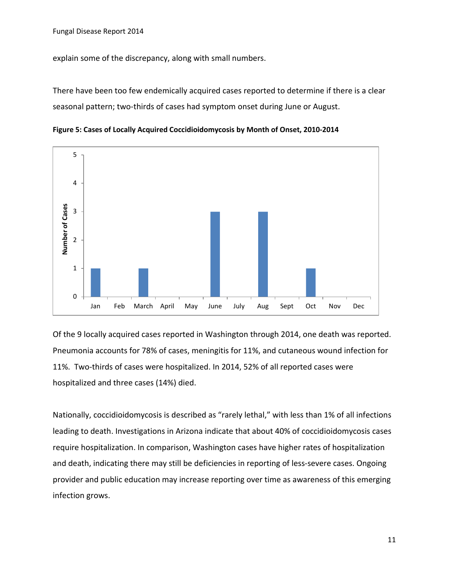explain some of the discrepancy, along with small numbers.

There have been too few endemically acquired cases reported to determine if there is a clear seasonal pattern; two-thirds of cases had symptom onset during June or August.



**Figure 5: Cases of Locally Acquired Coccidioidomycosis by Month of Onset, 2010-2014**

Of the 9 locally acquired cases reported in Washington through 2014, one death was reported. Pneumonia accounts for 78% of cases, meningitis for 11%, and cutaneous wound infection for 11%. Two-thirds of cases were hospitalized. In 2014, 52% of all reported cases were hospitalized and three cases (14%) died.

Nationally, coccidioidomycosis is described as "rarely lethal," with less than 1% of all infections leading to death. Investigations in Arizona indicate that about 40% of coccidioidomycosis cases require hospitalization. In comparison, Washington cases have higher rates of hospitalization and death, indicating there may still be deficiencies in reporting of less-severe cases. Ongoing provider and public education may increase reporting over time as awareness of this emerging infection grows.